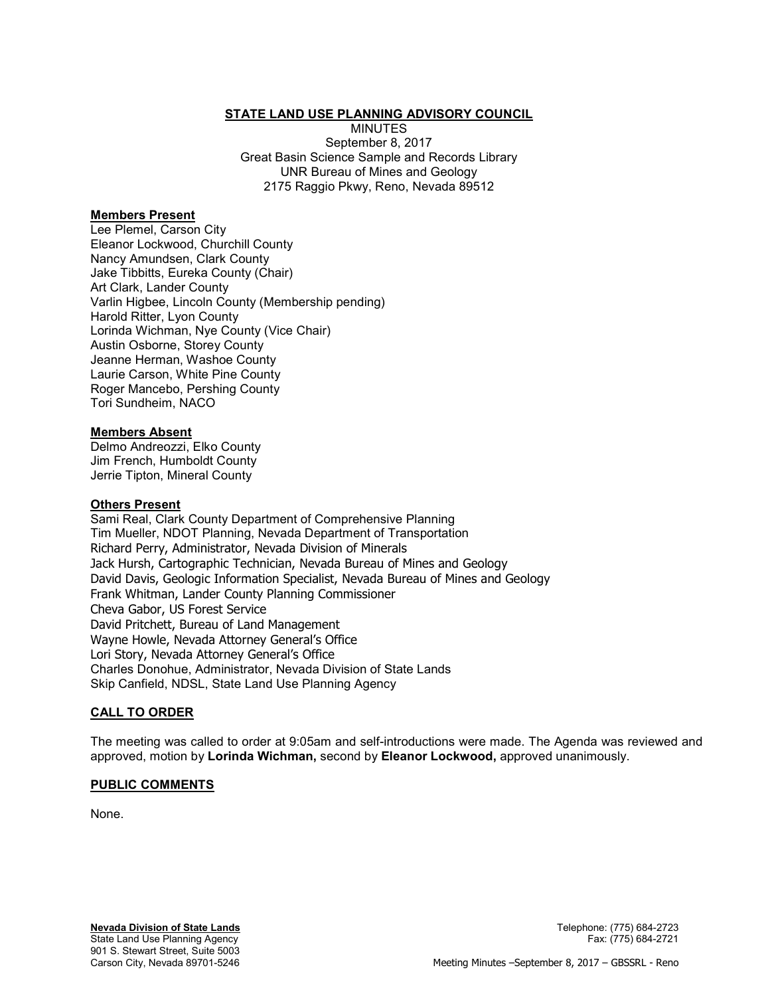# STATE LAND USE PLANNING ADVISORY COUNCIL

MINUTES September 8, 2017 Great Basin Science Sample and Records Library UNR Bureau of Mines and Geology 2175 Raggio Pkwy, Reno, Nevada 89512

## Members Present

Lee Plemel, Carson City Eleanor Lockwood, Churchill County Nancy Amundsen, Clark County Jake Tibbitts, Eureka County (Chair) Art Clark, Lander County Varlin Higbee, Lincoln County (Membership pending) Harold Ritter, Lyon County Lorinda Wichman, Nye County (Vice Chair) Austin Osborne, Storey County Jeanne Herman, Washoe County Laurie Carson, White Pine County Roger Mancebo, Pershing County Tori Sundheim, NACO

## Members Absent

Delmo Andreozzi, Elko County Jim French, Humboldt County Jerrie Tipton, Mineral County

### Others Present

Sami Real, Clark County Department of Comprehensive Planning Tim Mueller, NDOT Planning, Nevada Department of Transportation Richard Perry, Administrator, Nevada Division of Minerals Jack Hursh, Cartographic Technician, Nevada Bureau of Mines and Geology David Davis, Geologic Information Specialist, Nevada Bureau of Mines and Geology Frank Whitman, Lander County Planning Commissioner Cheva Gabor, US Forest Service David Pritchett, Bureau of Land Management Wayne Howle, Nevada Attorney General's Office Lori Story, Nevada Attorney General's Office Charles Donohue, Administrator, Nevada Division of State Lands Skip Canfield, NDSL, State Land Use Planning Agency

## CALL TO ORDER

The meeting was called to order at 9:05am and self-introductions were made. The Agenda was reviewed and approved, motion by Lorinda Wichman, second by Eleanor Lockwood, approved unanimously.

## PUBLIC COMMENTS

None.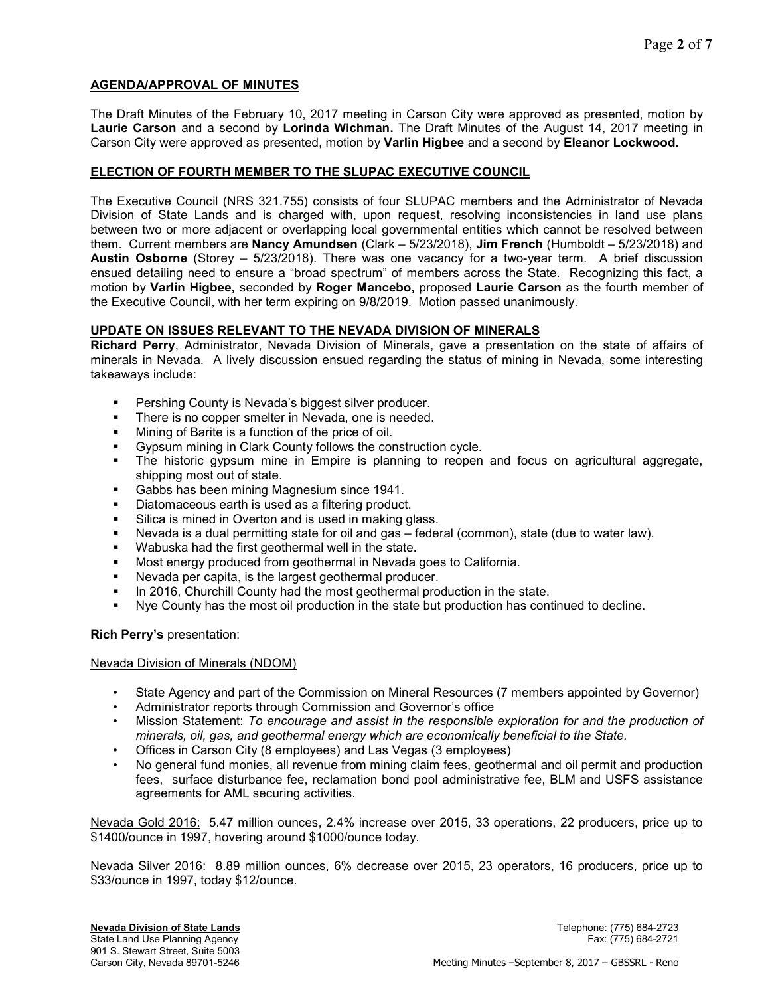# AGENDA/APPROVAL OF MINUTES

The Draft Minutes of the February 10, 2017 meeting in Carson City were approved as presented, motion by Laurie Carson and a second by Lorinda Wichman. The Draft Minutes of the August 14, 2017 meeting in Carson City were approved as presented, motion by Varlin Higbee and a second by Eleanor Lockwood.

# ELECTION OF FOURTH MEMBER TO THE SLUPAC EXECUTIVE COUNCIL

The Executive Council (NRS 321.755) consists of four SLUPAC members and the Administrator of Nevada Division of State Lands and is charged with, upon request, resolving inconsistencies in land use plans between two or more adjacent or overlapping local governmental entities which cannot be resolved between them. Current members are Nancy Amundsen (Clark – 5/23/2018), Jim French (Humboldt – 5/23/2018) and Austin Osborne (Storey – 5/23/2018). There was one vacancy for a two-year term. A brief discussion ensued detailing need to ensure a "broad spectrum" of members across the State. Recognizing this fact, a motion by Varlin Higbee, seconded by Roger Mancebo, proposed Laurie Carson as the fourth member of the Executive Council, with her term expiring on 9/8/2019. Motion passed unanimously.

## UPDATE ON ISSUES RELEVANT TO THE NEVADA DIVISION OF MINERALS

Richard Perry, Administrator, Nevada Division of Minerals, gave a presentation on the state of affairs of minerals in Nevada. A lively discussion ensued regarding the status of mining in Nevada, some interesting takeaways include:

- Pershing County is Nevada's biggest silver producer.
- **There is no copper smelter in Nevada, one is needed.**
- **Mining of Barite is a function of the price of oil.**
- Gypsum mining in Clark County follows the construction cycle.
- The historic gypsum mine in Empire is planning to reopen and focus on agricultural aggregate, shipping most out of state.
- **Gabbs has been mining Magnesium since 1941.**
- Diatomaceous earth is used as a filtering product.
- **Silica is mined in Overton and is used in making glass.**
- Nevada is a dual permitting state for oil and gas federal (common), state (due to water law).
- Wabuska had the first geothermal well in the state.
- Most energy produced from geothermal in Nevada goes to California.
- Nevada per capita, is the largest geothermal producer.
- In 2016, Churchill County had the most geothermal production in the state.
- Nye County has the most oil production in the state but production has continued to decline.

## Rich Perry's presentation:

## Nevada Division of Minerals (NDOM)

- State Agency and part of the Commission on Mineral Resources (7 members appointed by Governor)
- Administrator reports through Commission and Governor's office
- Mission Statement: To encourage and assist in the responsible exploration for and the production of minerals, oil, gas, and geothermal energy which are economically beneficial to the State.
- Offices in Carson City (8 employees) and Las Vegas (3 employees)
- No general fund monies, all revenue from mining claim fees, geothermal and oil permit and production fees, surface disturbance fee, reclamation bond pool administrative fee, BLM and USFS assistance agreements for AML securing activities.

Nevada Gold 2016: 5.47 million ounces, 2.4% increase over 2015, 33 operations, 22 producers, price up to \$1400/ounce in 1997, hovering around \$1000/ounce today.

Nevada Silver 2016: 8.89 million ounces, 6% decrease over 2015, 23 operators, 16 producers, price up to \$33/ounce in 1997, today \$12/ounce.

State Land Use Planning Agency Fax: (775) 684-2721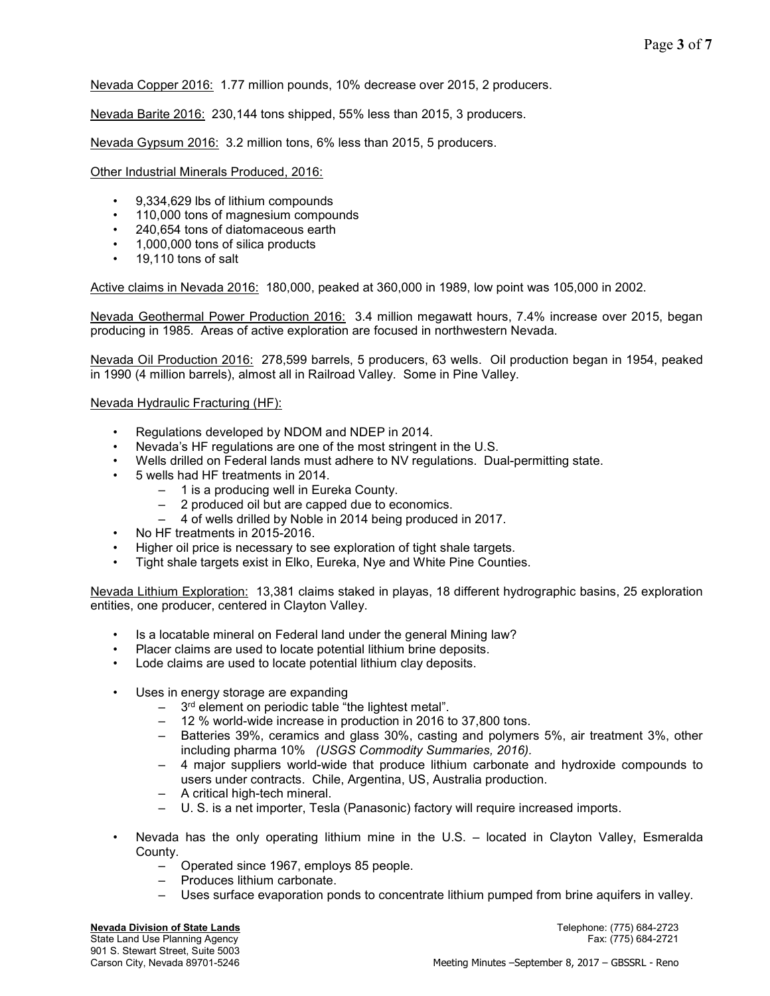Nevada Copper 2016: 1.77 million pounds, 10% decrease over 2015, 2 producers.

Nevada Barite 2016: 230,144 tons shipped, 55% less than 2015, 3 producers.

Nevada Gypsum 2016: 3.2 million tons, 6% less than 2015, 5 producers.

Other Industrial Minerals Produced, 2016:

- 9,334,629 lbs of lithium compounds
- 110,000 tons of magnesium compounds
- 240,654 tons of diatomaceous earth
- 1,000,000 tons of silica products
- 19,110 tons of salt

Active claims in Nevada 2016: 180,000, peaked at 360,000 in 1989, low point was 105,000 in 2002.

Nevada Geothermal Power Production 2016: 3.4 million megawatt hours, 7.4% increase over 2015, began producing in 1985. Areas of active exploration are focused in northwestern Nevada.

Nevada Oil Production 2016: 278,599 barrels, 5 producers, 63 wells. Oil production began in 1954, peaked in 1990 (4 million barrels), almost all in Railroad Valley. Some in Pine Valley.

Nevada Hydraulic Fracturing (HF):

- Regulations developed by NDOM and NDEP in 2014.
- Nevada's HF regulations are one of the most stringent in the U.S.
- Wells drilled on Federal lands must adhere to NV regulations. Dual-permitting state.
- 5 wells had HF treatments in 2014.
	- 1 is a producing well in Eureka County.
	- 2 produced oil but are capped due to economics.
	- 4 of wells drilled by Noble in 2014 being produced in 2017.
- No HF treatments in 2015-2016.
- Higher oil price is necessary to see exploration of tight shale targets.
- Tight shale targets exist in Elko, Eureka, Nye and White Pine Counties.

Nevada Lithium Exploration: 13,381 claims staked in playas, 18 different hydrographic basins, 25 exploration entities, one producer, centered in Clayton Valley.

- Is a locatable mineral on Federal land under the general Mining law?
- Placer claims are used to locate potential lithium brine deposits.
- Lode claims are used to locate potential lithium clay deposits.
- Uses in energy storage are expanding
	- $-$  3<sup>rd</sup> element on periodic table "the lightest metal".
	- 12 % world-wide increase in production in 2016 to 37,800 tons.
	- Batteries 39%, ceramics and glass 30%, casting and polymers 5%, air treatment 3%, other including pharma 10% (USGS Commodity Summaries, 2016).
	- 4 major suppliers world-wide that produce lithium carbonate and hydroxide compounds to users under contracts. Chile, Argentina, US, Australia production.
	- A critical high-tech mineral.
	- U. S. is a net importer, Tesla (Panasonic) factory will require increased imports.
- Nevada has the only operating lithium mine in the U.S. located in Clayton Valley, Esmeralda County.
	- Operated since 1967, employs 85 people.
	- Produces lithium carbonate.
	- Uses surface evaporation ponds to concentrate lithium pumped from brine aquifers in valley.

Nevada Division of State Lands<br>
State Land Use Planning Agency<br>
Tax: (775) 684-2721<br>
Fax: (775) 684-2721 State Land Use Planning Agency 901 S. Stewart Street, Suite 5003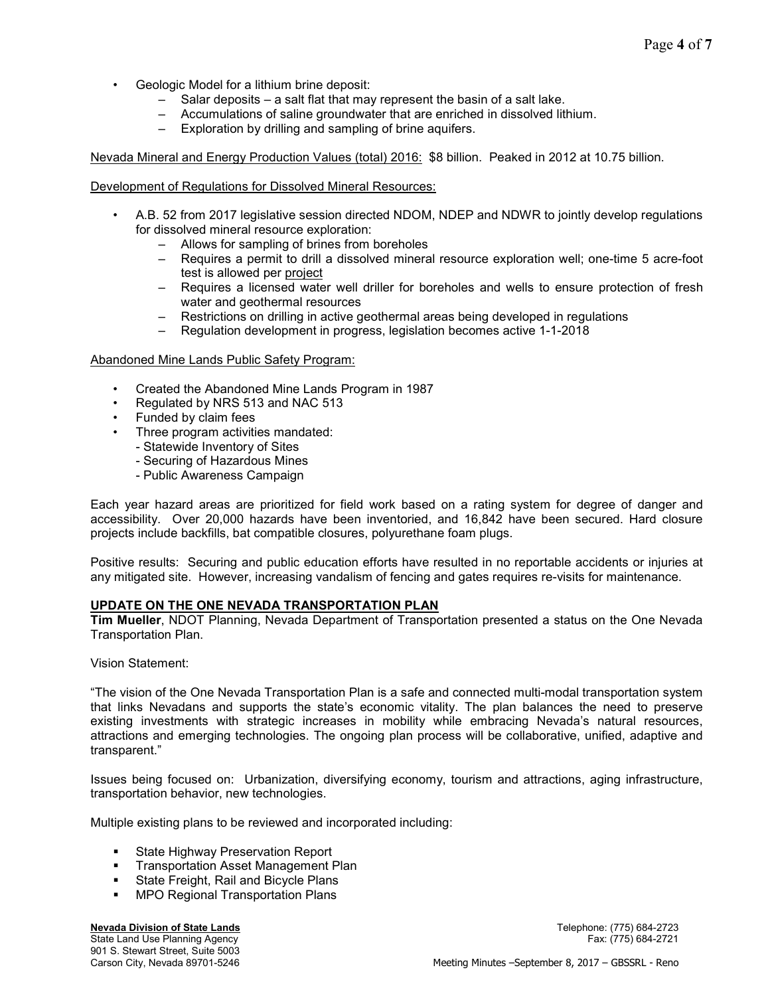- Geologic Model for a lithium brine deposit:
	- Salar deposits a salt flat that may represent the basin of a salt lake.
	- Accumulations of saline groundwater that are enriched in dissolved lithium.
	- Exploration by drilling and sampling of brine aquifers.

Nevada Mineral and Energy Production Values (total) 2016: \$8 billion. Peaked in 2012 at 10.75 billion.

### Development of Regulations for Dissolved Mineral Resources:

- A.B. 52 from 2017 legislative session directed NDOM, NDEP and NDWR to jointly develop regulations for dissolved mineral resource exploration:
	- Allows for sampling of brines from boreholes
	- Requires a permit to drill a dissolved mineral resource exploration well; one-time 5 acre-foot test is allowed per project
	- Requires a licensed water well driller for boreholes and wells to ensure protection of fresh water and geothermal resources
	- Restrictions on drilling in active geothermal areas being developed in regulations
	- Regulation development in progress, legislation becomes active 1-1-2018

### Abandoned Mine Lands Public Safety Program:

- Created the Abandoned Mine Lands Program in 1987
- Regulated by NRS 513 and NAC 513
- Funded by claim fees
- Three program activities mandated:
	- Statewide Inventory of Sites
	- Securing of Hazardous Mines
	- Public Awareness Campaign

Each year hazard areas are prioritized for field work based on a rating system for degree of danger and accessibility. Over 20,000 hazards have been inventoried, and 16,842 have been secured. Hard closure projects include backfills, bat compatible closures, polyurethane foam plugs.

Positive results: Securing and public education efforts have resulted in no reportable accidents or injuries at any mitigated site. However, increasing vandalism of fencing and gates requires re-visits for maintenance.

## UPDATE ON THE ONE NEVADA TRANSPORTATION PLAN

Tim Mueller, NDOT Planning, Nevada Department of Transportation presented a status on the One Nevada Transportation Plan.

Vision Statement:

"The vision of the One Nevada Transportation Plan is a safe and connected multi-modal transportation system that links Nevadans and supports the state's economic vitality. The plan balances the need to preserve existing investments with strategic increases in mobility while embracing Nevada's natural resources, attractions and emerging technologies. The ongoing plan process will be collaborative, unified, adaptive and transparent."

Issues being focused on: Urbanization, diversifying economy, tourism and attractions, aging infrastructure, transportation behavior, new technologies.

Multiple existing plans to be reviewed and incorporated including:

- **State Highway Preservation Report**
- **Transportation Asset Management Plan**
- State Freight, Rail and Bicycle Plans
- **MPO Regional Transportation Plans**

#### **Nevada Division of State Lands Newada Division of State Lands Telephone:** (775) 684-2723

State Land Use Planning Agency Fax: (775) 684-2721 901 S. Stewart Street, Suite 5003<br>Carson City, Nevada 89701-5246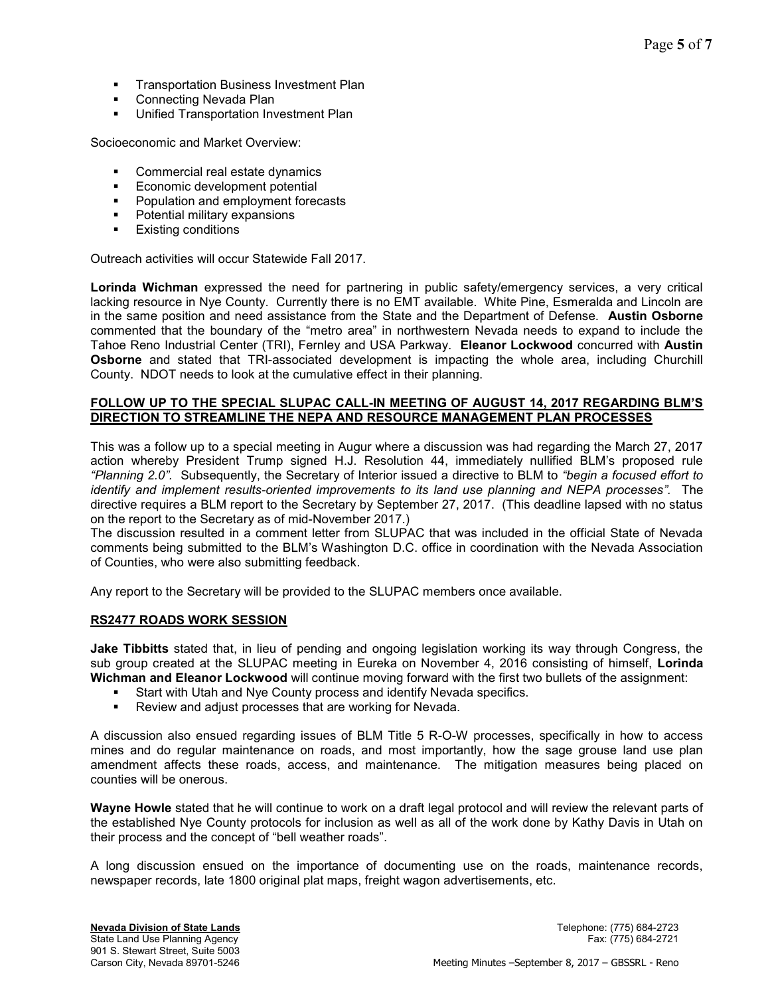- **Transportation Business Investment Plan**
- Connecting Nevada Plan
- **Unified Transportation Investment Plan**

Socioeconomic and Market Overview:

- **Commercial real estate dynamics**
- **Economic development potential**
- **•** Population and employment forecasts
- **•** Potential military expansions
- **Existing conditions**

Outreach activities will occur Statewide Fall 2017.

Lorinda Wichman expressed the need for partnering in public safety/emergency services, a very critical lacking resource in Nye County. Currently there is no EMT available. White Pine, Esmeralda and Lincoln are in the same position and need assistance from the State and the Department of Defense. Austin Osborne commented that the boundary of the "metro area" in northwestern Nevada needs to expand to include the Tahoe Reno Industrial Center (TRI), Fernley and USA Parkway. Eleanor Lockwood concurred with Austin Osborne and stated that TRI-associated development is impacting the whole area, including Churchill County. NDOT needs to look at the cumulative effect in their planning.

### FOLLOW UP TO THE SPECIAL SLUPAC CALL-IN MEETING OF AUGUST 14, 2017 REGARDING BLM'S DIRECTION TO STREAMLINE THE NEPA AND RESOURCE MANAGEMENT PLAN PROCESSES

This was a follow up to a special meeting in Augur where a discussion was had regarding the March 27, 2017 action whereby President Trump signed H.J. Resolution 44, immediately nullified BLM's proposed rule "Planning 2.0". Subsequently, the Secretary of Interior issued a directive to BLM to "begin a focused effort to identify and implement results-oriented improvements to its land use planning and NEPA processes". The directive requires a BLM report to the Secretary by September 27, 2017. (This deadline lapsed with no status on the report to the Secretary as of mid-November 2017.)

The discussion resulted in a comment letter from SLUPAC that was included in the official State of Nevada comments being submitted to the BLM's Washington D.C. office in coordination with the Nevada Association of Counties, who were also submitting feedback.

Any report to the Secretary will be provided to the SLUPAC members once available.

## RS2477 ROADS WORK SESSION

Jake Tibbitts stated that, in lieu of pending and ongoing legislation working its way through Congress, the sub group created at the SLUPAC meeting in Eureka on November 4, 2016 consisting of himself, Lorinda Wichman and Eleanor Lockwood will continue moving forward with the first two bullets of the assignment:

- Start with Utah and Nye County process and identify Nevada specifics.
- Review and adjust processes that are working for Nevada.

A discussion also ensued regarding issues of BLM Title 5 R-O-W processes, specifically in how to access mines and do regular maintenance on roads, and most importantly, how the sage grouse land use plan amendment affects these roads, access, and maintenance. The mitigation measures being placed on counties will be onerous.

Wayne Howle stated that he will continue to work on a draft legal protocol and will review the relevant parts of the established Nye County protocols for inclusion as well as all of the work done by Kathy Davis in Utah on their process and the concept of "bell weather roads".

A long discussion ensued on the importance of documenting use on the roads, maintenance records, newspaper records, late 1800 original plat maps, freight wagon advertisements, etc.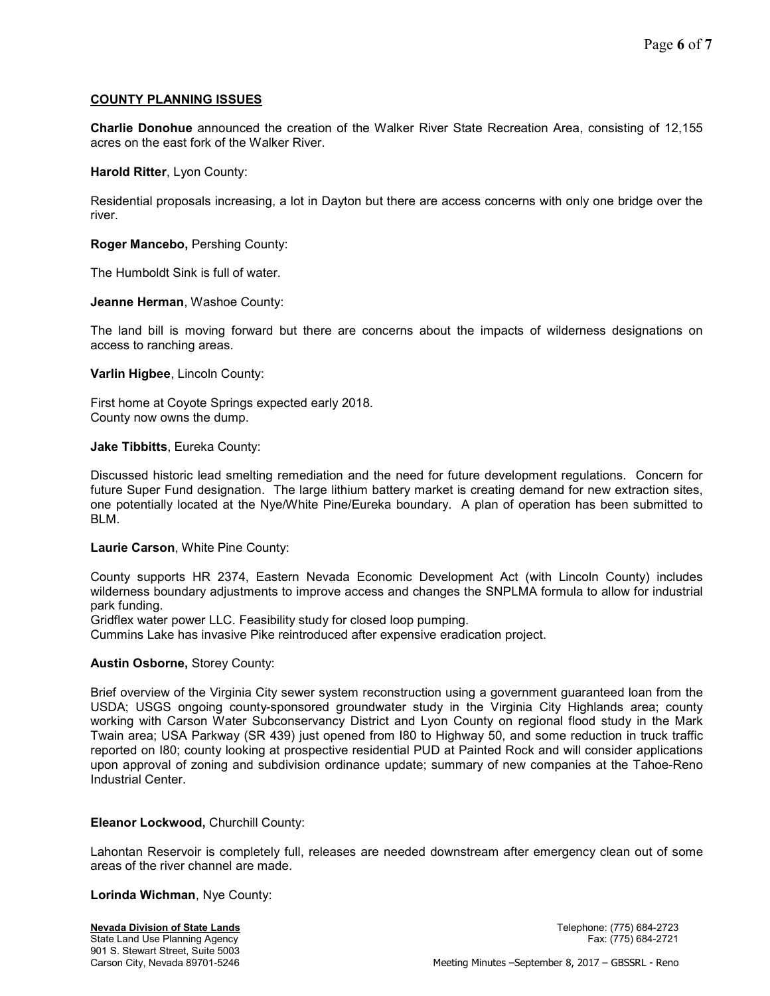# COUNTY PLANNING ISSUES

Charlie Donohue announced the creation of the Walker River State Recreation Area, consisting of 12,155 acres on the east fork of the Walker River.

Harold Ritter, Lyon County:

Residential proposals increasing, a lot in Dayton but there are access concerns with only one bridge over the river.

Roger Mancebo, Pershing County:

The Humboldt Sink is full of water.

Jeanne Herman, Washoe County:

The land bill is moving forward but there are concerns about the impacts of wilderness designations on access to ranching areas.

Varlin Higbee, Lincoln County:

First home at Coyote Springs expected early 2018. County now owns the dump.

Jake Tibbitts, Eureka County:

Discussed historic lead smelting remediation and the need for future development regulations. Concern for future Super Fund designation. The large lithium battery market is creating demand for new extraction sites, one potentially located at the Nye/White Pine/Eureka boundary. A plan of operation has been submitted to BLM.

#### Laurie Carson, White Pine County:

County supports HR 2374, Eastern Nevada Economic Development Act (with Lincoln County) includes wilderness boundary adjustments to improve access and changes the SNPLMA formula to allow for industrial park funding.

Gridflex water power LLC. Feasibility study for closed loop pumping.

Cummins Lake has invasive Pike reintroduced after expensive eradication project.

## Austin Osborne, Storey County:

Brief overview of the Virginia City sewer system reconstruction using a government guaranteed loan from the USDA; USGS ongoing county-sponsored groundwater study in the Virginia City Highlands area; county working with Carson Water Subconservancy District and Lyon County on regional flood study in the Mark Twain area; USA Parkway (SR 439) just opened from I80 to Highway 50, and some reduction in truck traffic reported on I80; county looking at prospective residential PUD at Painted Rock and will consider applications upon approval of zoning and subdivision ordinance update; summary of new companies at the Tahoe-Reno Industrial Center.

## Eleanor Lockwood, Churchill County:

Lahontan Reservoir is completely full, releases are needed downstream after emergency clean out of some areas of the river channel are made.

Lorinda Wichman, Nye County: